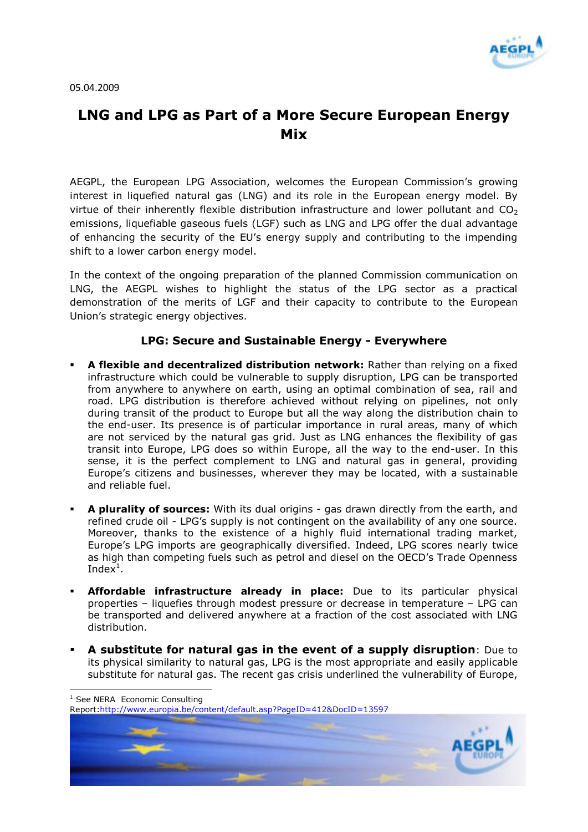

05.04.2009

## **LNG and LPG as Part of a More Secure European Energy Mix**

AEGPL, the European LPG Association, welcomes the European Commission's growing interest in liquefied natural gas (LNG) and its role in the European energy model. By virtue of their inherently flexible distribution infrastructure and lower pollutant and  $CO<sub>2</sub>$ emissions, liquefiable gaseous fuels (LGF) such as LNG and LPG offer the dual advantage of enhancing the security of the EU's energy supply and contributing to the impending shift to a lower carbon energy model.

In the context of the ongoing preparation of the planned Commission communication on LNG, the AEGPL wishes to highlight the status of the LPG sector as a practical demonstration of the merits of LGF and their capacity to contribute to the European Union's strategic energy objectives.

## **LPG: Secure and Sustainable Energy - Everywhere**

- **A flexible and decentralized distribution network:** Rather than relying on a fixed infrastructure which could be vulnerable to supply disruption, LPG can be transported from anywhere to anywhere on earth, using an optimal combination of sea, rail and road. LPG distribution is therefore achieved without relying on pipelines, not only during transit of the product to Europe but all the way along the distribution chain to the end-user. Its presence is of particular importance in rural areas, many of which are not serviced by the natural gas grid. Just as LNG enhances the flexibility of gas transit into Europe, LPG does so within Europe, all the way to the end-user. In this sense, it is the perfect complement to LNG and natural gas in general, providing Europe's citizens and businesses, wherever they may be located, with a sustainable and reliable fuel.
- **A plurality of sources:** With its dual origins gas drawn directly from the earth, and refined crude oil - LPG's supply is not contingent on the availability of any one source. Moreover, thanks to the existence of a highly fluid international trading market, Europe's LPG imports are geographically diversified. Indeed, LPG scores nearly twice as high than competing fuels such as petrol and diesel on the OECD's Trade Openness Index $^1$ .
- **Affordable infrastructure already in place:** Due to its particular physical properties – liquefies through modest pressure or decrease in temperature – LPG can be transported and delivered anywhere at a fraction of the cost associated with LNG distribution.
- **A substitute for natural gas in the event of a supply disruption**: Due to its physical similarity to natural gas, LPG is the most appropriate and easily applicable substitute for natural gas. The recent gas crisis underlined the vulnerability of Europe,

 $\overline{a}$ 

Report[:http://www.europia.be/content/default.asp?PageID=412&DocID=13597](http://www.europia.be/content/default.asp?PageID=412&DocID=13597)



<sup>&</sup>lt;sup>1</sup> See NERA Economic Consulting